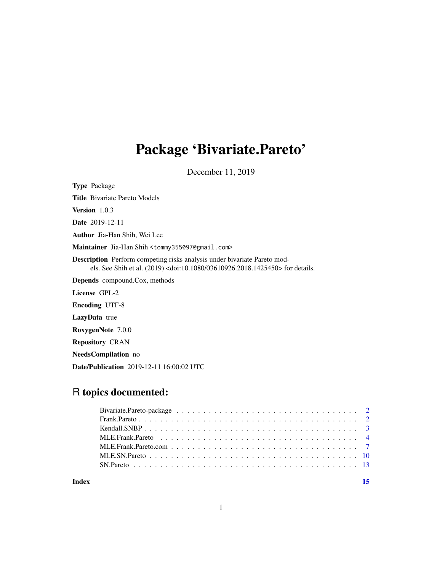## Package 'Bivariate.Pareto'

December 11, 2019

Type Package

Title Bivariate Pareto Models

Version 1.0.3

Date 2019-12-11

Author Jia-Han Shih, Wei Lee

Maintainer Jia-Han Shih <tommy355097@gmail.com>

Description Perform competing risks analysis under bivariate Pareto models. See Shih et al. (2019) <doi:10.1080/03610926.2018.1425450> for details.

Depends compound.Cox, methods

License GPL-2

Encoding UTF-8

LazyData true

RoxygenNote 7.0.0

Repository CRAN

NeedsCompilation no

Date/Publication 2019-12-11 16:00:02 UTC

### R topics documented:

| Index |  |
|-------|--|
|       |  |
|       |  |
|       |  |
|       |  |
|       |  |
|       |  |
|       |  |

1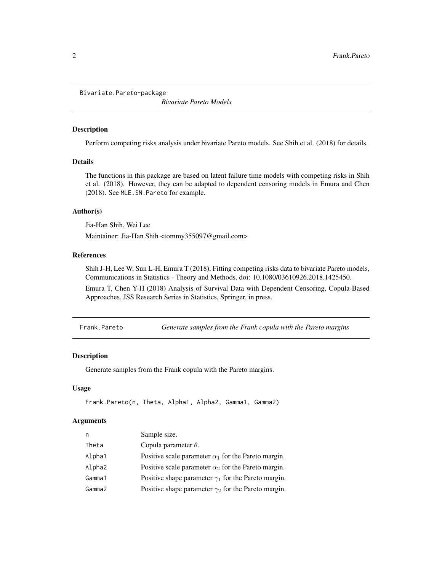<span id="page-1-0"></span>Bivariate.Pareto-package

*Bivariate Pareto Models*

#### Description

Perform competing risks analysis under bivariate Pareto models. See Shih et al. (2018) for details.

#### Details

The functions in this package are based on latent failure time models with competing risks in Shih et al. (2018). However, they can be adapted to dependent censoring models in Emura and Chen (2018). See MLE.SN.Pareto for example.

#### Author(s)

Jia-Han Shih, Wei Lee

Maintainer: Jia-Han Shih <tommy355097@gmail.com>

#### References

Shih J-H, Lee W, Sun L-H, Emura T (2018), Fitting competing risks data to bivariate Pareto models, Communications in Statistics - Theory and Methods, doi: 10.1080/03610926.2018.1425450.

Emura T, Chen Y-H (2018) Analysis of Survival Data with Dependent Censoring, Copula-Based Approaches, JSS Research Series in Statistics, Springer, in press.

Frank.Pareto *Generate samples from the Frank copula with the Pareto margins*

#### Description

Generate samples from the Frank copula with the Pareto margins.

#### Usage

```
Frank.Pareto(n, Theta, Alpha1, Alpha2, Gamma1, Gamma2)
```

| n      | Sample size.                                               |
|--------|------------------------------------------------------------|
| Theta  | Copula parameter $\theta$ .                                |
| Alpha1 | Positive scale parameter $\alpha_1$ for the Pareto margin. |
| Alpha2 | Positive scale parameter $\alpha_2$ for the Pareto margin. |
| Gamma1 | Positive shape parameter $\gamma_1$ for the Pareto margin. |
| Gamma2 | Positive shape parameter $\gamma_2$ for the Pareto margin. |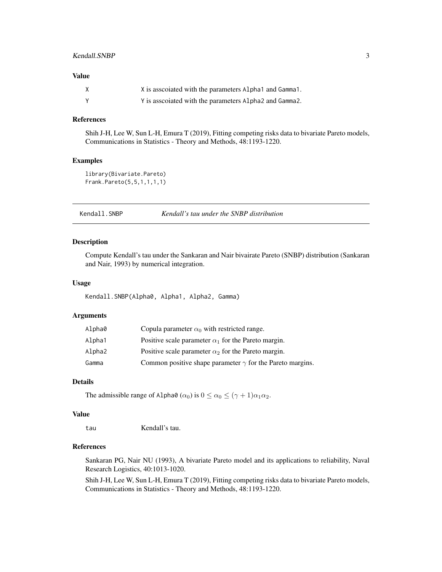#### <span id="page-2-0"></span>Kendall.SNBP 3

#### Value

| X is associated with the parameters Alpha1 and Gamma1.   |
|----------------------------------------------------------|
| Y is associated with the parameters Alpha 2 and Gamma 2. |

#### References

Shih J-H, Lee W, Sun L-H, Emura T (2019), Fitting competing risks data to bivariate Pareto models, Communications in Statistics - Theory and Methods, 48:1193-1220.

#### Examples

```
library(Bivariate.Pareto)
Frank.Pareto(5,5,1,1,1,1)
```
Kendall.SNBP *Kendall's tau under the SNBP distribution*

#### Description

Compute Kendall's tau under the Sankaran and Nair bivairate Pareto (SNBP) distribution (Sankaran and Nair, 1993) by numerical integration.

#### Usage

Kendall.SNBP(Alpha0, Alpha1, Alpha2, Gamma)

#### Arguments

| Alpha0 | Copula parameter $\alpha_0$ with restricted range.               |
|--------|------------------------------------------------------------------|
| Alpha1 | Positive scale parameter $\alpha_1$ for the Pareto margin.       |
| Alpha2 | Positive scale parameter $\alpha_2$ for the Pareto margin.       |
| Gamma  | Common positive shape parameter $\gamma$ for the Pareto margins. |

#### Details

The admissible range of Alpha0  $(\alpha_0)$  is  $0 \le \alpha_0 \le (\gamma + 1)\alpha_1\alpha_2$ .

#### Value

tau Kendall's tau.

#### References

Sankaran PG, Nair NU (1993), A bivariate Pareto model and its applications to reliability, Naval Research Logistics, 40:1013-1020.

Shih J-H, Lee W, Sun L-H, Emura T (2019), Fitting competing risks data to bivariate Pareto models, Communications in Statistics - Theory and Methods, 48:1193-1220.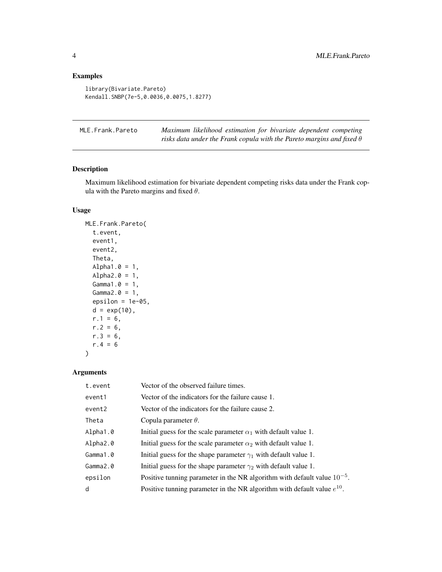.

#### Examples

```
library(Bivariate.Pareto)
Kendall.SNBP(7e-5,0.0036,0.0075,1.8277)
```

| MLE.Frank.Pareto | Maximum likelihood estimation for bivariate dependent competing              |
|------------------|------------------------------------------------------------------------------|
|                  | risks data under the Frank copula with the Pareto margins and fixed $\theta$ |

#### Description

Maximum likelihood estimation for bivariate dependent competing risks data under the Frank copula with the Pareto margins and fixed  $\theta$ .

#### Usage

```
MLE.Frank.Pareto(
  t.event,
 event1,
 event2,
 Theta,
 Alpha1.0 = 1,
 Alpha2.0 = 1,
  Gamma.0 = 1,Gamma2.0 = 1,
 epsilon = 1e-05,
 d = exp(10),
 r.1 = 6,
 r.2 = 6,
 r.3 = 6,
 r.4 = 6)
```

| t.event  | Vector of the observed failure times.                                        |
|----------|------------------------------------------------------------------------------|
| event1   | Vector of the indicators for the failure cause 1.                            |
| event2   | Vector of the indicators for the failure cause 2.                            |
| Theta    | Copula parameter $\theta$ .                                                  |
| Alpha1.0 | Initial guess for the scale parameter $\alpha_1$ with default value 1.       |
| Alpha2.0 | Initial guess for the scale parameter $\alpha_2$ with default value 1.       |
| Gamma1.0 | Initial guess for the shape parameter $\gamma_1$ with default value 1.       |
| Gamma2.0 | Initial guess for the shape parameter $\gamma_2$ with default value 1.       |
| epsilon  | Positive tunning parameter in the NR algorithm with default value $10^{-5}$  |
| d        | Positive tunning parameter in the NR algorithm with default value $e^{10}$ . |

<span id="page-3-0"></span>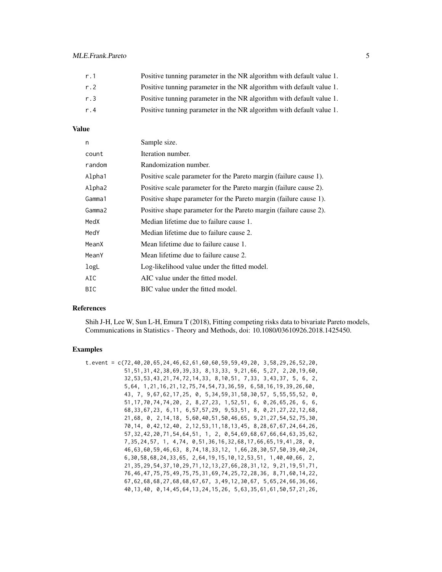| r.1 | Positive tunning parameter in the NR algorithm with default value 1. |
|-----|----------------------------------------------------------------------|
| r.2 | Positive tunning parameter in the NR algorithm with default value 1. |
| r.3 | Positive tunning parameter in the NR algorithm with default value 1. |
| r.4 | Positive tunning parameter in the NR algorithm with default value 1. |

#### Value

| n      | Sample size.                                                      |
|--------|-------------------------------------------------------------------|
| count  | Iteration number.                                                 |
| random | Randomization number.                                             |
| Alpha1 | Positive scale parameter for the Pareto margin (failure cause 1). |
| Alpha2 | Positive scale parameter for the Pareto margin (failure cause 2). |
| Gamma1 | Positive shape parameter for the Pareto margin (failure cause 1). |
| Gamma2 | Positive shape parameter for the Pareto margin (failure cause 2). |
| MedX   | Median lifetime due to failure cause 1.                           |
| MedY   | Median lifetime due to failure cause 2.                           |
| MeanX  | Mean lifetime due to failure cause 1.                             |
| MeanY  | Mean lifetime due to failure cause 2.                             |
| logL   | Log-likelihood value under the fitted model.                      |
| AIC    | AIC value under the fitted model.                                 |
| BIC    | BIC value under the fitted model.                                 |

#### References

Shih J-H, Lee W, Sun L-H, Emura T (2018), Fitting competing risks data to bivariate Pareto models, Communications in Statistics - Theory and Methods, doi: 10.1080/03610926.2018.1425450.

#### Examples

| t.event = c(72,40,20,65,24,46,62,61,60,60,59,59,49,20, 3,58,29,26,52,20,         |
|----------------------------------------------------------------------------------|
| $51, 51, 31, 42, 38, 69, 39, 33, 8, 13, 33, 9, 21, 66, 5, 27, 2, 20, 19, 60,$    |
| $32, 53, 53, 43, 21, 74, 72, 14, 33, 8, 10, 51, 7, 33, 3, 43, 37, 5, 6, 2,$      |
| 5,64, 1,21,16,21,12,75,74,54,73,36,59, 6,58,16,19,39,26,60,                      |
| 43, 7, 9,67,62,17,25, 0, 5,34,59,31,58,30,57, 5,55,55,52, 0,                     |
| $51, 17, 70, 74, 74, 20, 2, 8, 27, 23, 1, 52, 51, 6, 0, 26, 65, 26, 6, 6,$       |
| 68, 33, 67, 23, 6, 11, 6, 57, 57, 29, 9, 53, 51, 8, 0, 21, 27, 22, 12, 68,       |
| $21,68$ , 0, 2, 14, 18, 5, 60, 40, 51, 50, 46, 65, 9, 21, 27, 54, 52, 75, 30,    |
| 70, 14, 0, 42, 12, 40, 2, 12, 53, 11, 18, 13, 45, 8, 28, 67, 67, 24, 64, 26,     |
| 57, 32, 42, 20, 71, 54, 64, 51, 1, 2, 0, 54, 69, 68, 67, 66, 64, 63, 35, 62,     |
| 7, 35, 24, 57, 1, 4, 74, 0, 51, 36, 16, 32, 68, 17, 66, 65, 19, 41, 28, 0,       |
| 46, 63, 60, 59, 46, 63, 8, 74, 18, 33, 12, 1, 66, 28, 30, 57, 50, 39, 40, 24,    |
| $6, 30, 58, 68, 24, 33, 65, 2, 64, 19, 15, 10, 12, 53, 51, 1, 40, 40, 66, 2,$    |
| $21, 35, 29, 54, 37, 10, 29, 71, 12, 13, 27, 66, 28, 31, 12, 9, 21, 19, 51, 71,$ |
| 76, 46, 47, 75, 75, 49, 75, 75, 31, 69, 74, 25, 72, 28, 36, 8, 71, 60, 14, 22,   |
| $67, 62, 68, 68, 27, 68, 68, 67, 67, 3, 49, 12, 30, 67, 5, 65, 24, 66, 36, 66,$  |
| 40, 13, 40, 0, 14, 45, 64, 13, 24, 15, 26, 5, 63, 35, 61, 61, 50, 57, 21, 26,    |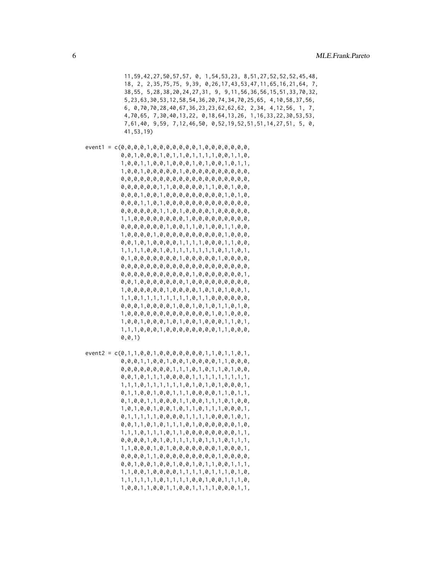11,59,42,27,50,57,57, 0, 1,54,53,23, 8,51,27,52,52,52,45,48, 18, 2, 2,35,75,75, 9,39, 0,26,17,43,53,47,11,65,16,21,64, 7, 38,55, 5,28,38,20,24,27,31, 9, 9,11,56,36,56,15,51,33,70,32, 5,23,63,30,53,12,58,54,36,20,74,34,70,25,65, 4,10,58,37,56, 6, 0,70,70,28,40,67,36,23,23,62,62,62, 2,34, 4,12,56, 1, 7, 4,70,65, 7,30,40,13,22, 0,18,64,13,26, 1,16,33,22,30,53,53, 7,61,40, 9,59, 7,12,46,50, 0,52,19,52,51,51,14,27,51, 5, 0, 41,53,19)

event1 = c(0,0,0,0,1,0,0,0,0,0,0,0,1,0,0,0,0,0,0,0, 0,0,1,0,0,0,1,0,1,1,0,1,1,1,1,0,0,1,1,0, 1,0,0,1,1,0,0,1,0,0,0,1,0,1,0,0,1,0,1,1, 1,0,0,1,0,0,0,0,0,1,0,0,0,0,0,0,0,0,0,0, 0,0,0,0,0,0,0,0,0,0,0,0,0,0,0,0,0,0,0,0, 0,0,0,0,0,0,1,1,0,0,0,0,0,1,1,0,0,1,0,0, 0,0,0,1,0,0,1,0,0,0,0,0,0,0,0,0,1,0,1,0, 0,0,0,1,1,0,1,0,0,0,0,0,0,0,0,0,0,0,0,0, 0,0,0,0,0,0,1,1,0,1,0,0,0,0,1,0,0,0,0,0, 1,1,0,0,0,0,0,0,0,0,1,0,0,0,0,0,0,0,0,0, 0,0,0,0,0,0,0,1,0,0,1,1,0,1,0,0,1,1,0,0, 1,0,0,0,0,1,0,0,0,0,0,0,0,0,0,0,1,0,0,0, 0,0,1,0,1,0,0,0,0,1,1,1,1,0,0,0,1,1,0,0, 1,1,1,1,0,0,1,0,1,1,1,1,1,1,1,0,1,1,0,1, 0,1,0,0,0,0,0,0,0,1,0,0,0,0,0,1,0,0,0,0, 0,0,0,0,0,0,0,0,0,0,0,0,0,0,0,0,0,0,0,0, 0,0,0,0,0,0,0,0,0,0,0,1,0,0,0,0,0,0,0,1, 0,0,1,0,0,0,0,0,0,0,1,0,0,0,0,0,0,0,0,0, 1,0,0,0,0,0,0,1,0,0,0,0,1,0,1,0,1,0,0,1, 1,1,0,1,1,1,1,1,1,1,1,0,1,1,0,0,0,0,0,0, 0,0,0,1,0,0,0,0,1,0,0,1,0,1,0,1,1,0,1,0, 1,0,0,0,0,0,0,0,0,0,0,0,0,0,1,0,1,0,0,0, 1,0,0,1,0,0,0,1,0,1,0,0,1,0,0,0,1,1,0,1, 1,1,1,0,0,0,1,0,0,0,0,0,0,0,0,1,1,0,0,0, 0,0,1)

 $event2 = c(0, 1, 1, 0, 0, 1, 0, 0, 0, 0, 0, 0, 0, 1, 1, 0, 1, 1, 0, 1,$ 0,0,0,1,1,0,0,1,0,0,1,0,0,0,0,1,1,0,0,0, 0,0,0,0,0,0,0,0,1,1,1,0,1,0,1,1,0,1,0,0, 0,0,1,0,1,1,1,0,0,0,0,1,1,1,1,1,1,1,1,1, 1,1,1,0,1,1,1,1,1,1,0,1,0,1,0,1,0,0,0,1, 0,1,1,0,0,1,0,0,1,1,1,0,0,0,0,1,1,0,1,1, 0,1,0,0,1,1,0,0,0,1,1,0,0,1,1,1,0,1,0,0, 1,0,1,0,0,1,0,0,1,0,1,1,0,1,1,1,0,0,0,1, 0,1,1,1,1,1,0,0,0,0,1,1,1,1,0,0,0,1,0,1, 0,0,1,1,0,1,0,1,1,1,0,1,0,0,0,0,0,0,1,0, 1,1,1,0,1,1,1,0,1,1,0,0,0,0,0,0,0,0,1,1, 0,0,0,0,1,0,1,0,1,1,1,1,0,1,1,1,0,1,1,1, 1,1,0,0,0,1,0,1,0,0,0,0,0,0,0,1,0,0,0,1, 0,0,0,0,1,1,0,0,0,0,0,0,0,0,0,1,0,0,0,0, 0,0,1,0,0,1,0,0,1,0,0,1,0,1,1,0,0,1,1,1, 1,1,0,0,1,0,0,0,0,1,1,1,1,0,1,1,1,0,1,0, 1,1,1,1,1,1,0,1,1,1,1,0,0,1,0,0,1,1,1,0, 1,0,0,1,1,0,0,1,1,0,0,1,1,1,1,0,0,0,1,1,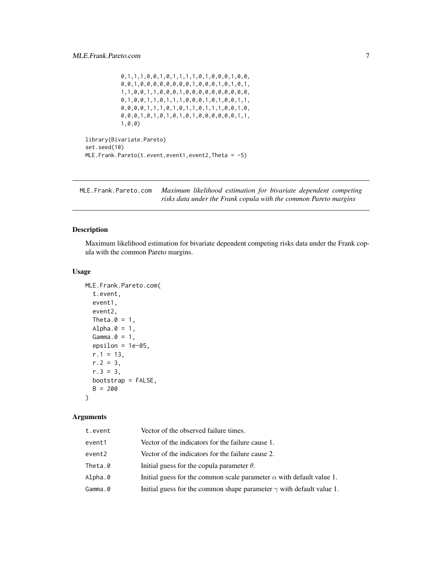```
0,1,1,1,0,0,1,0,1,1,1,1,0,1,0,0,0,1,0,0,
0,0,1,0,0,0,0,0,0,0,0,1,0,0,0,1,0,1,0,1,
1,1,0,0,1,1,0,0,0,1,0,0,0,0,0,0,0,0,0,0,
0,1,0,0,1,1,0,1,1,1,0,0,0,1,0,1,0,0,1,1,
0,0,0,0,1,1,1,0,1,0,1,1,0,1,1,1,0,0,1,0,
0,0,0,1,0,1,0,1,0,1,0,1,0,0,0,0,0,0,1,1,
1,0,0)
```

```
library(Bivariate.Pareto)
set.seed(10)
MLE.Frank.Pareto(t.event,event1,event2,Theta = -5)
```
MLE.Frank.Pareto.com *Maximum likelihood estimation for bivariate dependent competing risks data under the Frank copula with the common Pareto margins*

#### Description

Maximum likelihood estimation for bivariate dependent competing risks data under the Frank copula with the common Pareto margins.

#### Usage

```
MLE.Frank.Pareto.com(
  t.event,
  event1,
  event2,
  Theta.0 = 1,
  Alpha.0 = 1,
  Gamma.\theta = 1,
  epsilon = 1e-05,
  r.1 = 13,
  r.2 = 3,
  r.3 = 3,
 bootstrap = FALSE,
 B = 200)
```

| t.event | Vector of the observed failure times.                                       |
|---------|-----------------------------------------------------------------------------|
| event1  | Vector of the indicators for the failure cause 1.                           |
| event2  | Vector of the indicators for the failure cause 2.                           |
| Theta.0 | Initial guess for the copula parameter $\theta$ .                           |
| Alpha.0 | Initial guess for the common scale parameter $\alpha$ with default value 1. |
| Gamma.0 | Initial guess for the common shape parameter $\gamma$ with default value 1. |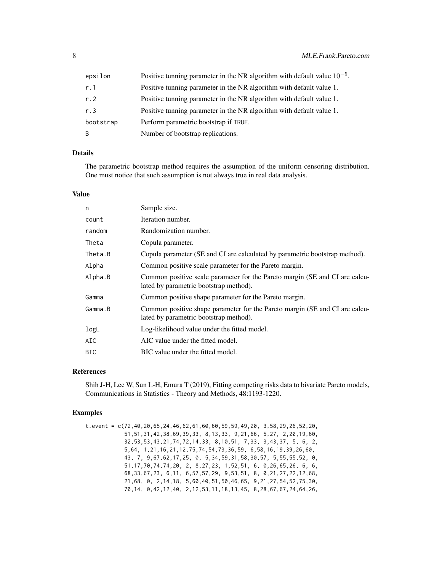| epsilon   | Positive tunning parameter in the NR algorithm with default value $10^{-5}$ . |
|-----------|-------------------------------------------------------------------------------|
| r.1       | Positive tunning parameter in the NR algorithm with default value 1.          |
| r.2       | Positive tunning parameter in the NR algorithm with default value 1.          |
| r.3       | Positive tunning parameter in the NR algorithm with default value 1.          |
| bootstrap | Perform parametric bootstrap if TRUE.                                         |
| B         | Number of bootstrap replications.                                             |

#### Details

The parametric bootstrap method requires the assumption of the uniform censoring distribution. One must notice that such assumption is not always true in real data analysis.

#### Value

| Sample size.                                                                                                          |
|-----------------------------------------------------------------------------------------------------------------------|
| Iteration number.                                                                                                     |
| Randomization number.                                                                                                 |
| Copula parameter.                                                                                                     |
| Copula parameter (SE and CI are calculated by parametric bootstrap method).                                           |
| Common positive scale parameter for the Pareto margin.                                                                |
| Common positive scale parameter for the Pareto margin (SE and CI are calcu-<br>lated by parametric bootstrap method). |
| Common positive shape parameter for the Pareto margin.                                                                |
| Common positive shape parameter for the Pareto margin (SE and CI are calcu-<br>lated by parametric bootstrap method). |
| Log-likelihood value under the fitted model.                                                                          |
| AIC value under the fitted model.                                                                                     |
| BIC value under the fitted model.                                                                                     |
|                                                                                                                       |

#### References

Shih J-H, Lee W, Sun L-H, Emura T (2019), Fitting competing risks data to bivariate Pareto models, Communications in Statistics - Theory and Methods, 48:1193-1220.

#### Examples

```
t.event = c(72,40,20,65,24,46,62,61,60,60,59,59,49,20, 3,58,29,26,52,20,
           51,51,31,42,38,69,39,33, 8,13,33, 9,21,66, 5,27, 2,20,19,60,
           32,53,53,43,21,74,72,14,33, 8,10,51, 7,33, 3,43,37, 5, 6, 2,
           5,64, 1,21,16,21,12,75,74,54,73,36,59, 6,58,16,19,39,26,60,
           43, 7, 9,67,62,17,25, 0, 5,34,59,31,58,30,57, 5,55,55,52, 0,
           51,17,70,74,74,20, 2, 8,27,23, 1,52,51, 6, 0,26,65,26, 6, 6,
           68,33,67,23, 6,11, 6,57,57,29, 9,53,51, 8, 0,21,27,22,12,68,
           21,68, 0, 2,14,18, 5,60,40,51,50,46,65, 9,21,27,54,52,75,30,
           70,14, 0,42,12,40, 2,12,53,11,18,13,45, 8,28,67,67,24,64,26,
```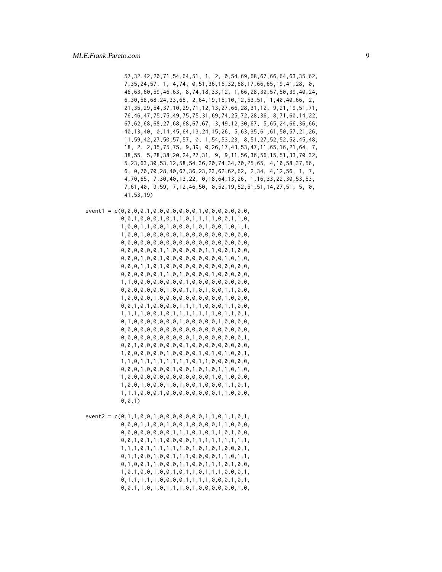57,32,42,20,71,54,64,51, 1, 2, 0,54,69,68,67,66,64,63,35,62, 7,35,24,57, 1, 4,74, 0,51,36,16,32,68,17,66,65,19,41,28, 0, 46,63,60,59,46,63, 8,74,18,33,12, 1,66,28,30,57,50,39,40,24, 6,30,58,68,24,33,65, 2,64,19,15,10,12,53,51, 1,40,40,66, 2, 21,35,29,54,37,10,29,71,12,13,27,66,28,31,12, 9,21,19,51,71, 76,46,47,75,75,49,75,75,31,69,74,25,72,28,36, 8,71,60,14,22, 67,62,68,68,27,68,68,67,67, 3,49,12,30,67, 5,65,24,66,36,66, 40,13,40, 0,14,45,64,13,24,15,26, 5,63,35,61,61,50,57,21,26, 11,59,42,27,50,57,57, 0, 1,54,53,23, 8,51,27,52,52,52,45,48, 18, 2, 2,35,75,75, 9,39, 0,26,17,43,53,47,11,65,16,21,64, 7, 38,55, 5,28,38,20,24,27,31, 9, 9,11,56,36,56,15,51,33,70,32, 5,23,63,30,53,12,58,54,36,20,74,34,70,25,65, 4,10,58,37,56, 6, 0,70,70,28,40,67,36,23,23,62,62,62, 2,34, 4,12,56, 1, 7, 4,70,65, 7,30,40,13,22, 0,18,64,13,26, 1,16,33,22,30,53,53, 7,61,40, 9,59, 7,12,46,50, 0,52,19,52,51,51,14,27,51, 5, 0, 41,53,19)

- event1 = c(0,0,0,0,1,0,0,0,0,0,0,0,1,0,0,0,0,0,0,0, 0,0,1,0,0,0,1,0,1,1,0,1,1,1,1,0,0,1,1,0, 1,0,0,1,1,0,0,1,0,0,0,1,0,1,0,0,1,0,1,1, 1,0,0,1,0,0,0,0,0,1,0,0,0,0,0,0,0,0,0,0, 0,0,0,0,0,0,0,0,0,0,0,0,0,0,0,0,0,0,0,0, 0,0,0,0,0,0,1,1,0,0,0,0,0,1,1,0,0,1,0,0, 0,0,0,1,0,0,1,0,0,0,0,0,0,0,0,0,1,0,1,0, 0,0,0,1,1,0,1,0,0,0,0,0,0,0,0,0,0,0,0,0, 0,0,0,0,0,0,1,1,0,1,0,0,0,0,1,0,0,0,0,0, 1,1,0,0,0,0,0,0,0,0,1,0,0,0,0,0,0,0,0,0, 0,0,0,0,0,0,0,1,0,0,1,1,0,1,0,0,1,1,0,0, 1,0,0,0,0,1,0,0,0,0,0,0,0,0,0,0,1,0,0,0, 0,0,1,0,1,0,0,0,0,1,1,1,1,0,0,0,1,1,0,0, 1,1,1,1,0,0,1,0,1,1,1,1,1,1,1,0,1,1,0,1, 0,1,0,0,0,0,0,0,0,1,0,0,0,0,0,1,0,0,0,0, 0,0,0,0,0,0,0,0,0,0,0,0,0,0,0,0,0,0,0,0, 0,0,0,0,0,0,0,0,0,0,0,1,0,0,0,0,0,0,0,1, 0,0,1,0,0,0,0,0,0,0,1,0,0,0,0,0,0,0,0,0, 1,0,0,0,0,0,0,1,0,0,0,0,1,0,1,0,1,0,0,1, 1,1,0,1,1,1,1,1,1,1,1,0,1,1,0,0,0,0,0,0, 0,0,0,1,0,0,0,0,1,0,0,1,0,1,0,1,1,0,1,0, 1,0,0,0,0,0,0,0,0,0,0,0,0,0,1,0,1,0,0,0, 1,0,0,1,0,0,0,1,0,1,0,0,1,0,0,0,1,1,0,1, 1,1,1,0,0,0,1,0,0,0,0,0,0,0,0,1,1,0,0,0, 0,0,1)
- $event2 = c(0, 1, 1, 0, 0, 1, 0, 0, 0, 0, 0, 0, 0, 1, 1, 0, 1, 1, 0, 1,$ 0,0,0,1,1,0,0,1,0,0,1,0,0,0,0,1,1,0,0,0, 0,0,0,0,0,0,0,0,1,1,1,0,1,0,1,1,0,1,0,0, 0,0,1,0,1,1,1,0,0,0,0,1,1,1,1,1,1,1,1,1, 1,1,1,0,1,1,1,1,1,1,0,1,0,1,0,1,0,0,0,1, 0,1,1,0,0,1,0,0,1,1,1,0,0,0,0,1,1,0,1,1, 0,1,0,0,1,1,0,0,0,1,1,0,0,1,1,1,0,1,0,0, 1,0,1,0,0,1,0,0,1,0,1,1,0,1,1,1,0,0,0,1, 0,1,1,1,1,1,0,0,0,0,1,1,1,1,0,0,0,1,0,1, 0,0,1,1,0,1,0,1,1,1,0,1,0,0,0,0,0,0,1,0,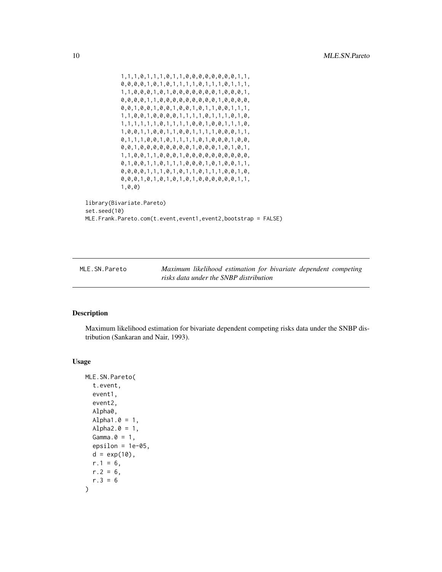```
1,1,1,0,1,1,1,0,1,1,0,0,0,0,0,0,0,0,1,1,
           0,0,0,0,1,0,1,0,1,1,1,1,0,1,1,1,0,1,1,1,
           1,1,0,0,0,1,0,1,0,0,0,0,0,0,0,1,0,0,0,1,
           0,0,0,0,1,1,0,0,0,0,0,0,0,0,0,1,0,0,0,0,
           0,0,1,0,0,1,0,0,1,0,0,1,0,1,1,0,0,1,1,1,
           1,1,0,0,1,0,0,0,0,1,1,1,1,0,1,1,1,0,1,0,
           1,1,1,1,1,1,0,1,1,1,1,0,0,1,0,0,1,1,1,0,
           1,0,0,1,1,0,0,1,1,0,0,1,1,1,1,0,0,0,1,1,
           0,1,1,1,0,0,1,0,1,1,1,1,0,1,0,0,0,1,0,0,
           0,0,1,0,0,0,0,0,0,0,0,1,0,0,0,1,0,1,0,1,
           1,1,0,0,1,1,0,0,0,1,0,0,0,0,0,0,0,0,0,0,
           0,1,0,0,1,1,0,1,1,1,0,0,0,1,0,1,0,0,1,1,
           0,0,0,0,1,1,1,0,1,0,1,1,0,1,1,1,0,0,1,0,
           0,0,0,1,0,1,0,1,0,1,0,1,0,0,0,0,0,0,1,1,
           1,0,0)
library(Bivariate.Pareto)
set.seed(10)
MLE.Frank.Pareto.com(t.event,event1,event2,bootstrap = FALSE)
```
MLE.SN.Pareto *Maximum likelihood estimation for bivariate dependent competing risks data under the SNBP distribution*

#### Description

Maximum likelihood estimation for bivariate dependent competing risks data under the SNBP distribution (Sankaran and Nair, 1993).

#### Usage

```
MLE.SN.Pareto(
  t.event,
  event1,
  event2,
  Alpha0,
  Alpha1.0 = 1,
  Alpha2.0 = 1,
  Gamma.\theta = 1,
  epsilon = 1e-05.
  d = exp(10),
  r.1 = 6,
  r.2 = 6,
  r.3 = 6)
```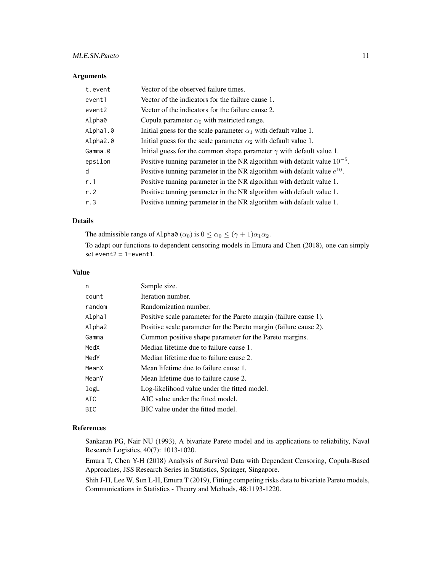#### MLE.SN.Pareto 11

#### Arguments

| t.event  | Vector of the observed failure times.                                         |
|----------|-------------------------------------------------------------------------------|
| event1   | Vector of the indicators for the failure cause 1.                             |
| event2   | Vector of the indicators for the failure cause 2.                             |
| Alpha0   | Copula parameter $\alpha_0$ with restricted range.                            |
| Alpha1.0 | Initial guess for the scale parameter $\alpha_1$ with default value 1.        |
| Alpha2.0 | Initial guess for the scale parameter $\alpha_2$ with default value 1.        |
| Gamma.0  | Initial guess for the common shape parameter $\gamma$ with default value 1.   |
| epsilon  | Positive tunning parameter in the NR algorithm with default value $10^{-5}$ . |
| d        | Positive tunning parameter in the NR algorithm with default value $e^{10}$ .  |
| r.1      | Positive tunning parameter in the NR algorithm with default value 1.          |
| r.2      | Positive tunning parameter in the NR algorithm with default value 1.          |
| r.3      | Positive tunning parameter in the NR algorithm with default value 1.          |

#### Details

The admissible range of Alpha0 ( $\alpha_0$ ) is  $0 \le \alpha_0 \le (\gamma + 1)\alpha_1\alpha_2$ . To adapt our functions to dependent censoring models in Emura and Chen (2018), one can simply set event $2 = 1$ -event $1$ .

#### Value

| n          | Sample size.                                                      |
|------------|-------------------------------------------------------------------|
| count      | Iteration number.                                                 |
| random     | Randomization number.                                             |
| Alpha1     | Positive scale parameter for the Pareto margin (failure cause 1). |
| Alpha2     | Positive scale parameter for the Pareto margin (failure cause 2). |
| Gamma      | Common positive shape parameter for the Pareto margins.           |
| MedX       | Median lifetime due to failure cause 1.                           |
| MedY       | Median lifetime due to failure cause 2.                           |
| MeanX      | Mean lifetime due to failure cause 1.                             |
| MeanY      | Mean lifetime due to failure cause 2.                             |
| logL       | Log-likelihood value under the fitted model.                      |
| AIC        | AIC value under the fitted model.                                 |
| <b>BIC</b> | BIC value under the fitted model.                                 |

#### References

Sankaran PG, Nair NU (1993), A bivariate Pareto model and its applications to reliability, Naval Research Logistics, 40(7): 1013-1020.

Emura T, Chen Y-H (2018) Analysis of Survival Data with Dependent Censoring, Copula-Based Approaches, JSS Research Series in Statistics, Springer, Singapore.

Shih J-H, Lee W, Sun L-H, Emura T (2019), Fitting competing risks data to bivariate Pareto models, Communications in Statistics - Theory and Methods, 48:1193-1220.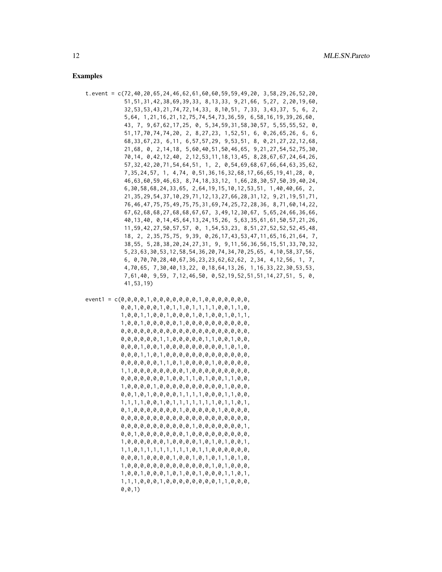#### Examples

- t.event = c(72,40,20,65,24,46,62,61,60,60,59,59,49,20, 3,58,29,26,52,20, 51,51,31,42,38,69,39,33, 8,13,33, 9,21,66, 5,27, 2,20,19,60, 32,53,53,43,21,74,72,14,33, 8,10,51, 7,33, 3,43,37, 5, 6, 2, 5,64, 1,21,16,21,12,75,74,54,73,36,59, 6,58,16,19,39,26,60, 43, 7, 9,67,62,17,25, 0, 5,34,59,31,58,30,57, 5,55,55,52, 0, 51,17,70,74,74,20, 2, 8,27,23, 1,52,51, 6, 0,26,65,26, 6, 6, 68,33,67,23, 6,11, 6,57,57,29, 9,53,51, 8, 0,21,27,22,12,68, 21,68, 0, 2,14,18, 5,60,40,51,50,46,65, 9,21,27,54,52,75,30, 70,14, 0,42,12,40, 2,12,53,11,18,13,45, 8,28,67,67,24,64,26, 57,32,42,20,71,54,64,51, 1, 2, 0,54,69,68,67,66,64,63,35,62, 7,35,24,57, 1, 4,74, 0,51,36,16,32,68,17,66,65,19,41,28, 0, 46,63,60,59,46,63, 8,74,18,33,12, 1,66,28,30,57,50,39,40,24, 6,30,58,68,24,33,65, 2,64,19,15,10,12,53,51, 1,40,40,66, 2, 21,35,29,54,37,10,29,71,12,13,27,66,28,31,12, 9,21,19,51,71, 76,46,47,75,75,49,75,75,31,69,74,25,72,28,36, 8,71,60,14,22, 67,62,68,68,27,68,68,67,67, 3,49,12,30,67, 5,65,24,66,36,66, 40,13,40, 0,14,45,64,13,24,15,26, 5,63,35,61,61,50,57,21,26, 11,59,42,27,50,57,57, 0, 1,54,53,23, 8,51,27,52,52,52,45,48, 18, 2, 2,35,75,75, 9,39, 0,26,17,43,53,47,11,65,16,21,64, 7, 38,55, 5,28,38,20,24,27,31, 9, 9,11,56,36,56,15,51,33,70,32, 5,23,63,30,53,12,58,54,36,20,74,34,70,25,65, 4,10,58,37,56, 6, 0,70,70,28,40,67,36,23,23,62,62,62, 2,34, 4,12,56, 1, 7, 4,70,65, 7,30,40,13,22, 0,18,64,13,26, 1,16,33,22,30,53,53, 7,61,40, 9,59, 7,12,46,50, 0,52,19,52,51,51,14,27,51, 5, 0, 41,53,19)
- event1 = c(0,0,0,0,1,0,0,0,0,0,0,0,1,0,0,0,0,0,0,0, 0,0,1,0,0,0,1,0,1,1,0,1,1,1,1,0,0,1,1,0, 1,0,0,1,1,0,0,1,0,0,0,1,0,1,0,0,1,0,1,1, 1,0,0,1,0,0,0,0,0,1,0,0,0,0,0,0,0,0,0,0, 0,0,0,0,0,0,0,0,0,0,0,0,0,0,0,0,0,0,0,0, 0,0,0,0,0,0,1,1,0,0,0,0,0,1,1,0,0,1,0,0, 0,0,0,1,0,0,1,0,0,0,0,0,0,0,0,0,1,0,1,0, 0,0,0,1,1,0,1,0,0,0,0,0,0,0,0,0,0,0,0,0, 0,0,0,0,0,0,1,1,0,1,0,0,0,0,1,0,0,0,0,0, 1,1,0,0,0,0,0,0,0,0,1,0,0,0,0,0,0,0,0,0, 0,0,0,0,0,0,0,1,0,0,1,1,0,1,0,0,1,1,0,0, 1,0,0,0,0,1,0,0,0,0,0,0,0,0,0,0,1,0,0,0, 0,0,1,0,1,0,0,0,0,1,1,1,1,0,0,0,1,1,0,0, 1,1,1,1,0,0,1,0,1,1,1,1,1,1,1,0,1,1,0,1, 0,1,0,0,0,0,0,0,0,1,0,0,0,0,0,1,0,0,0,0, 0,0,0,0,0,0,0,0,0,0,0,0,0,0,0,0,0,0,0,0, 0,0,0,0,0,0,0,0,0,0,0,1,0,0,0,0,0,0,0,1, 0,0,1,0,0,0,0,0,0,0,1,0,0,0,0,0,0,0,0,0, 1,0,0,0,0,0,0,1,0,0,0,0,1,0,1,0,1,0,0,1, 1,1,0,1,1,1,1,1,1,1,1,0,1,1,0,0,0,0,0,0, 0,0,0,1,0,0,0,0,1,0,0,1,0,1,0,1,1,0,1,0, 1,0,0,0,0,0,0,0,0,0,0,0,0,0,1,0,1,0,0,0, 1,0,0,1,0,0,0,1,0,1,0,0,1,0,0,0,1,1,0,1, 1,1,1,0,0,0,1,0,0,0,0,0,0,0,0,1,1,0,0,0, 0,0,1)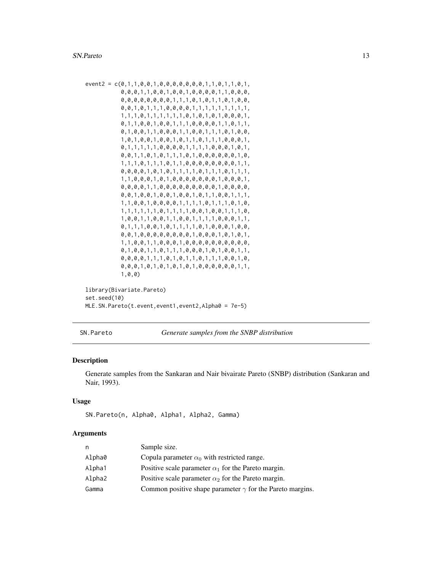```
event2 = c(0,1,1,0,0,1,0,0,0,0,0,0,0,1,1,0,1,1,0,1,
           0,0,0,1,1,0,0,1,0,0,1,0,0,0,0,1,1,0,0,0,
           0,0,0,0,0,0,0,0,1,1,1,0,1,0,1,1,0,1,0,0,
           0,0,1,0,1,1,1,0,0,0,0,1,1,1,1,1,1,1,1,1,
           1,1,1,0,1,1,1,1,1,1,0,1,0,1,0,1,0,0,0,1,
           0,1,1,0,0,1,0,0,1,1,1,0,0,0,0,1,1,0,1,1,
           0,1,0,0,1,1,0,0,0,1,1,0,0,1,1,1,0,1,0,0,
           1,0,1,0,0,1,0,0,1,0,1,1,0,1,1,1,0,0,0,1,
           0,1,1,1,1,1,0,0,0,0,1,1,1,1,0,0,0,1,0,1,
           0,0,1,1,0,1,0,1,1,1,0,1,0,0,0,0,0,0,1,0,
           1,1,1,0,1,1,1,0,1,1,0,0,0,0,0,0,0,0,1,1,
           0,0,0,0,1,0,1,0,1,1,1,0,1,1,1,0,1,1,1,
           1,1,0,0,0,1,0,1,0,0,0,0,0,0,0,1,0,0,0,1,
           0,0,0,0,1,1,0,0,0,0,0,0,0,0,0,1,0,0,0,0,
           0,0,1,0,0,1,0,0,1,0,0,1,0,1,1,0,0,1,1,1,
           1,1,0,0,1,0,0,0,0,1,1,1,1,0,1,1,1,0,1,0,
           1,1,1,1,1,1,0,1,1,1,1,0,0,1,0,0,1,1,1,0,
           1,0,0,1,1,0,0,1,1,0,0,1,1,1,1,0,0,0,1,1,
           0,1,1,1,0,0,1,0,1,1,1,1,0,1,0,0,0,1,0,0,
           0,0,1,0,0,0,0,0,0,0,0,1,0,0,0,1,0,1,0,1,
           1,1,0,0,1,1,0,0,0,1,0,0,0,0,0,0,0,0,0,0,
           0,1,0,0,1,1,0,1,1,1,0,0,0,1,0,1,0,0,1,1,
           0,0,0,0,1,1,1,0,1,0,1,1,0,1,1,1,0,0,1,0,
           0,0,0,1,0,1,0,1,0,1,0,1,0,0,0,0,0,0,1,1,
           1,0,0)
library(Bivariate.Pareto)
```

```
set.seed(10)
MLE.SN.Pareto(t.event,event1,event2,Alpha0 = 7e-5)
```
SN.Pareto *Generate samples from the SNBP distribution*

#### Description

Generate samples from the Sankaran and Nair bivairate Pareto (SNBP) distribution (Sankaran and Nair, 1993).

#### Usage

```
SN.Pareto(n, Alpha0, Alpha1, Alpha2, Gamma)
```

| n      | Sample size.                                                     |
|--------|------------------------------------------------------------------|
| Alpha0 | Copula parameter $\alpha_0$ with restricted range.               |
| Alpha1 | Positive scale parameter $\alpha_1$ for the Pareto margin.       |
| Alpha2 | Positive scale parameter $\alpha_2$ for the Pareto margin.       |
| Gamma  | Common positive shape parameter $\gamma$ for the Pareto margins. |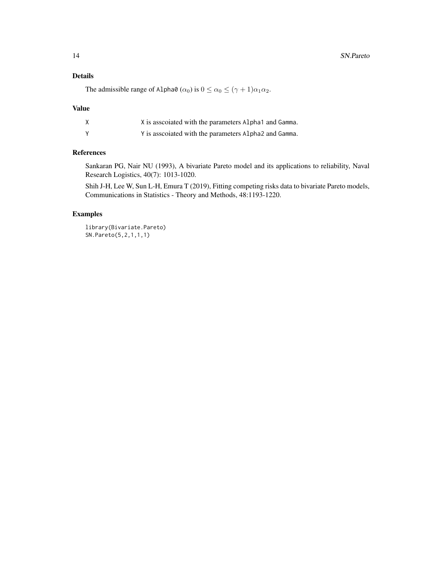#### Details

The admissible range of Alpha0  $(\alpha_0)$  is  $0 \le \alpha_0 \le (\gamma + 1)\alpha_1\alpha_2$ .

#### Value

| X is associated with the parameters Alpha1 and Gamma. |
|-------------------------------------------------------|
| Y is associated with the parameters Alpha2 and Gamma. |

#### References

Sankaran PG, Nair NU (1993), A bivariate Pareto model and its applications to reliability, Naval Research Logistics, 40(7): 1013-1020.

Shih J-H, Lee W, Sun L-H, Emura T (2019), Fitting competing risks data to bivariate Pareto models, Communications in Statistics - Theory and Methods, 48:1193-1220.

#### Examples

library(Bivariate.Pareto) SN.Pareto(5,2,1,1,1)